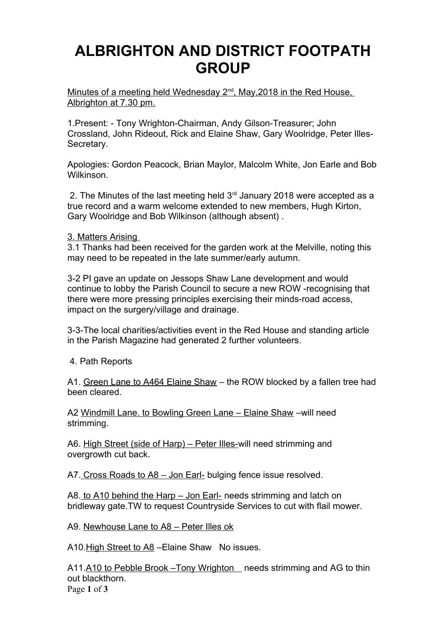# **ALBRIGHTON AND DISTRICT FOOTPATH GROUP**

Minutes of a meeting held Wednesday 2<sup>nd</sup>, May, 2018 in the Red House, Albrighton at 7.30 pm.

1.Present: - Tony Wrighton-Chairman, Andy Gilson-Treasurer; John Crossland, John Rideout, Rick and Elaine Shaw, Gary Woolridge, Peter Illes-Secretary.

Apologies: Gordon Peacock, Brian Maylor, Malcolm White, Jon Earle and Bob Wilkinson.

2. The Minutes of the last meeting held  $3<sup>rd</sup>$  January 2018 were accepted as a true record and a warm welcome extended to new members, Hugh Kirton, Gary Woolridge and Bob Wilkinson (although absent) .

3. Matters Arising

3.1 Thanks had been received for the garden work at the Melville, noting this may need to be repeated in the late summer/early autumn.

3-2 PI gave an update on Jessops Shaw Lane development and would continue to lobby the Parish Council to secure a new ROW -recognising that there were more pressing principles exercising their minds-road access, impact on the surgery/village and drainage.

3-3-The local charities/activities event in the Red House and standing article in the Parish Magazine had generated 2 further volunteers.

4. Path Reports

A1. Green Lane to A464 Elaine Shaw – the ROW blocked by a fallen tree had been cleared.

A2 Windmill Lane. to Bowling Green Lane – Elaine Shaw –will need strimming.

A6. High Street (side of Harp) – Peter Illes-will need strimming and overgrowth cut back.

A7. Cross Roads to A8 – Jon Earl- bulging fence issue resolved.

A8. to A10 behind the Harp – Jon Earl- needs strimming and latch on bridleway gate.TW to request Countryside Services to cut with flail mower.

A9. Newhouse Lane to A8 – Peter Illes ok

A10.High Street to A8 –Elaine Shaw No issues.

A11.A10 to Pebble Brook – Tony Wrighton needs strimming and AG to thin out blackthorn. Page **1** of **3**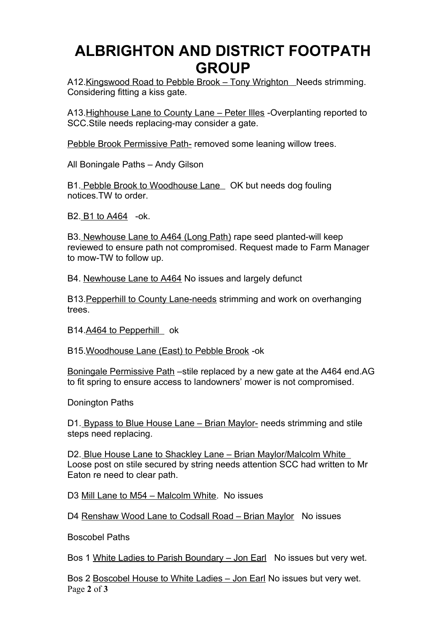# **ALBRIGHTON AND DISTRICT FOOTPATH GROUP**

A12. Kingswood Road to Pebble Brook - Tony Wrighton Needs strimming. Considering fitting a kiss gate.

A13.Highhouse Lane to County Lane – Peter Illes -Overplanting reported to SCC.Stile needs replacing-may consider a gate.

Pebble Brook Permissive Path- removed some leaning willow trees.

All Boningale Paths – Andy Gilson

B1. Pebble Brook to Woodhouse Lane OK but needs dog fouling notices.TW to order.

B2. B1 to A464 -ok.

B3. Newhouse Lane to A464 (Long Path) rape seed planted-will keep reviewed to ensure path not compromised. Request made to Farm Manager to mow-TW to follow up.

B4. Newhouse Lane to A464 No issues and largely defunct

B13.Pepperhill to County Lane-needs strimming and work on overhanging trees.

B14.A464 to Pepperhill ok

B15.Woodhouse Lane (East) to Pebble Brook -ok

Boningale Permissive Path –stile replaced by a new gate at the A464 end.AG to fit spring to ensure access to landowners' mower is not compromised.

Donington Paths

D1. Bypass to Blue House Lane – Brian Maylor- needs strimming and stile steps need replacing.

D2. Blue House Lane to Shackley Lane – Brian Maylor/Malcolm White Loose post on stile secured by string needs attention SCC had written to Mr Eaton re need to clear path.

D3 Mill Lane to M54 – Malcolm White. No issues

D4 Renshaw Wood Lane to Codsall Road – Brian Maylor No issues

Boscobel Paths

Bos 1 White Ladies to Parish Boundary - Jon Earl No issues but very wet.

Bos 2 Boscobel House to White Ladies – Jon Earl No issues but very wet. Page **2** of **3**